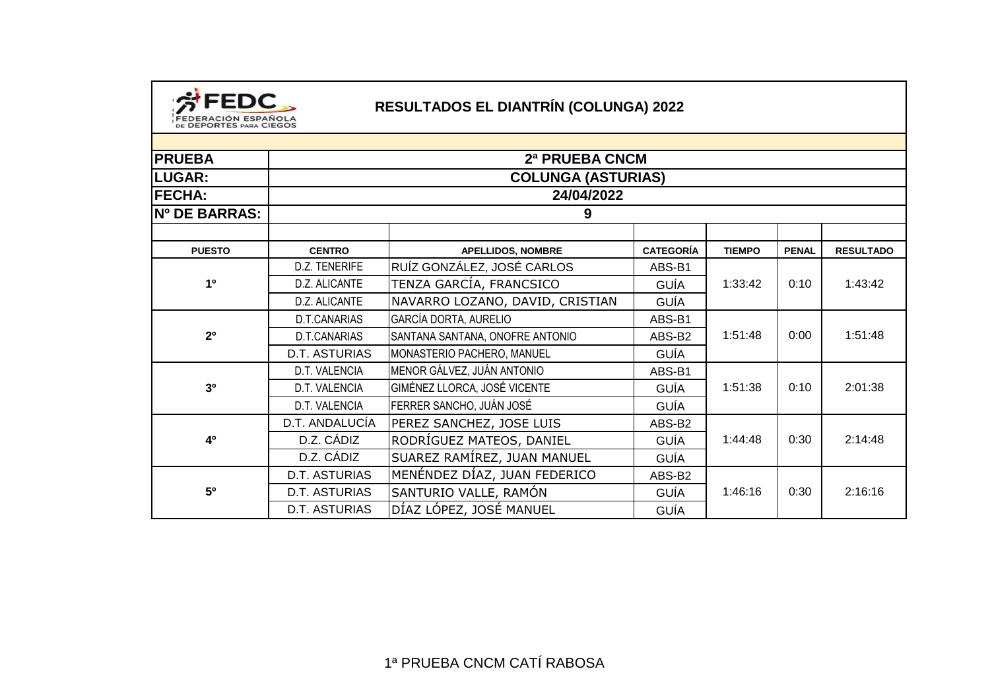

FEDERACIÓN ESPAÑOLA

| <b>PRUEBA</b>        | 2ª PRUEBA CNCM                          |                                 |                  |               |              |                  |  |  |  |  |
|----------------------|-----------------------------------------|---------------------------------|------------------|---------------|--------------|------------------|--|--|--|--|
| <b>LUGAR:</b>        | <b>COLUNGA (ASTURIAS)</b><br>24/04/2022 |                                 |                  |               |              |                  |  |  |  |  |
| <b>FECHA:</b>        |                                         |                                 |                  |               |              |                  |  |  |  |  |
| <b>Nº DE BARRAS:</b> | 9                                       |                                 |                  |               |              |                  |  |  |  |  |
|                      |                                         |                                 |                  |               |              |                  |  |  |  |  |
| <b>PUESTO</b>        | <b>CENTRO</b>                           | <b>APELLIDOS, NOMBRE</b>        | <b>CATEGORÍA</b> | <b>TIEMPO</b> | <b>PENAL</b> | <b>RESULTADO</b> |  |  |  |  |
| 1 <sup>0</sup>       | D.Z. TENERIFE                           | RUÍZ GONZÁLEZ, JOSÉ CARLOS      | ABS-B1           | 1:33:42       | 0:10         | 1:43:42          |  |  |  |  |
|                      | D.Z. ALICANTE                           | TENZA GARCÍA, FRANCSICO         | <b>GUÍA</b>      |               |              |                  |  |  |  |  |
|                      | D.Z. ALICANTE                           | NAVARRO LOZANO, DAVID, CRISTIAN | GUÍA             |               |              |                  |  |  |  |  |
| 2 <sup>0</sup>       | D.T.CANARIAS                            | GARCÍA DORTA, AURELIO           | ABS-B1           | 1:51:48       | 0:00         | 1:51:48          |  |  |  |  |
|                      | D.T.CANARIAS                            | SANTANA SANTANA, ONOFRE ANTONIO | ABS-B2           |               |              |                  |  |  |  |  |
|                      | <b>D.T. ASTURIAS</b>                    | MONASTERIO PACHERO, MANUEL      | <b>GUÍA</b>      |               |              |                  |  |  |  |  |
| 3 <sup>0</sup>       | D.T. VALENCIA                           | MENOR GÁLVEZ, JUÁN ANTONIO      | ABS-B1           | 1:51:38       | 0:10         | 2:01:38          |  |  |  |  |
|                      | D.T. VALENCIA                           | GIMÉNEZ LLORCA, JOSÉ VICENTE    | GUÍA             |               |              |                  |  |  |  |  |
|                      | D.T. VALENCIA                           | FERRER SANCHO, JUÁN JOSÉ        | <b>GUÍA</b>      |               |              |                  |  |  |  |  |
| 4º                   | D.T. ANDALUCÍA                          | PEREZ SANCHEZ, JOSE LUIS        | ABS-B2           | 1:44:48       | 0:30         | 2:14:48          |  |  |  |  |
|                      | D.Z. CÁDIZ                              | RODRÍGUEZ MATEOS, DANIEL        | <b>GUÍA</b>      |               |              |                  |  |  |  |  |
|                      | D.Z. CÁDIZ                              | SUAREZ RAMÍREZ, JUAN MANUEL     | GUÍA             |               |              |                  |  |  |  |  |
| 5 <sup>o</sup>       | D.T. ASTURIAS                           | MENÉNDEZ DÍAZ, JUAN FEDERICO    | ABS-B2           | 1:46:16       | 0:30         | 2:16:16          |  |  |  |  |
|                      | D.T. ASTURIAS                           | SANTURIO VALLE, RAMÓN           | GUÍA             |               |              |                  |  |  |  |  |
|                      | D.T. ASTURIAS                           | DÍAZ LÓPEZ, JOSÉ MANUEL         | GUÍA             |               |              |                  |  |  |  |  |